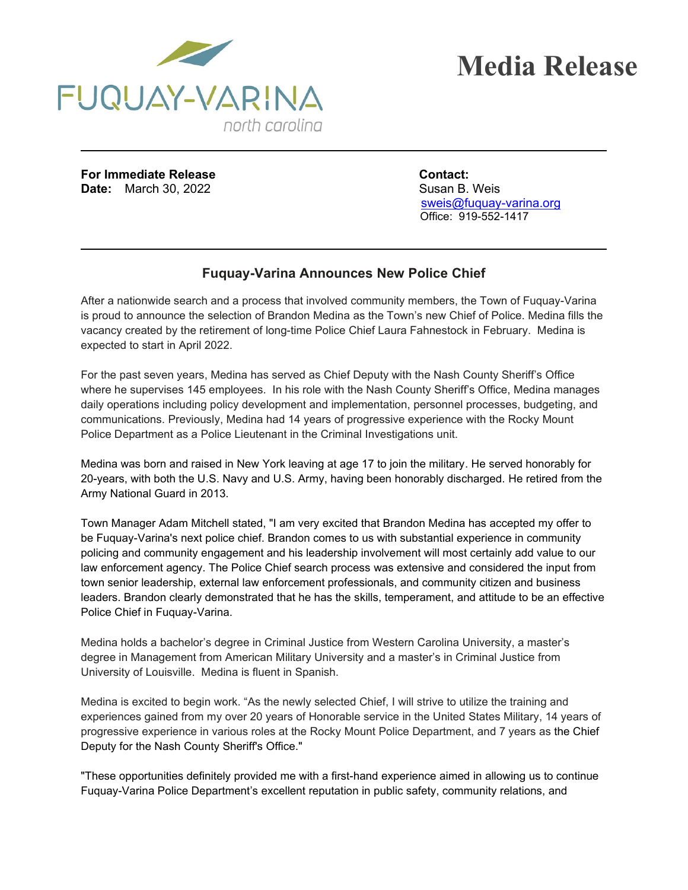

**For Immediate Release Contact: Date:** March 30, 2022 Susan B. Weis

 [sweis@fuquay-varina.org](mailto:sweis@fuquay-varina.org) Office: 919-552-1417

## **Fuquay-Varina Announces New Police Chief**

After a nationwide search and a process that involved community members, the Town of Fuquay-Varina is proud to announce the selection of Brandon Medina as the Town's new Chief of Police. Medina fills the vacancy created by the retirement of long-time Police Chief Laura Fahnestock in February. Medina is expected to start in April 2022.

For the past seven years, Medina has served as Chief Deputy with the Nash County Sheriff's Office where he supervises 145 employees. In his role with the Nash County Sheriff's Office, Medina manages daily operations including policy development and implementation, personnel processes, budgeting, and communications. Previously, Medina had 14 years of progressive experience with the Rocky Mount Police Department as a Police Lieutenant in the Criminal Investigations unit.

Medina was born and raised in New York leaving at age 17 to join the military. He served honorably for 20-years, with both the U.S. Navy and U.S. Army, having been honorably discharged. He retired from the Army National Guard in 2013.

Town Manager Adam Mitchell stated, "I am very excited that Brandon Medina has accepted my offer to be Fuquay-Varina's next police chief. Brandon comes to us with substantial experience in community policing and community engagement and his leadership involvement will most certainly add value to our law enforcement agency. The Police Chief search process was extensive and considered the input from town senior leadership, external law enforcement professionals, and community citizen and business leaders. Brandon clearly demonstrated that he has the skills, temperament, and attitude to be an effective Police Chief in Fuquay-Varina.

Medina holds a bachelor's degree in Criminal Justice from Western Carolina University, a master's degree in Management from American Military University and a master's in Criminal Justice from University of Louisville. Medina is fluent in Spanish.

Medina is excited to begin work. "As the newly selected Chief, I will strive to utilize the training and experiences gained from my over 20 years of Honorable service in the United States Military, 14 years of progressive experience in various roles at the Rocky Mount Police Department, and 7 years as the Chief Deputy for the Nash County Sheriff's Office."

"These opportunities definitely provided me with a first-hand experience aimed in allowing us to continue Fuquay-Varina Police Department's excellent reputation in public safety, community relations, and